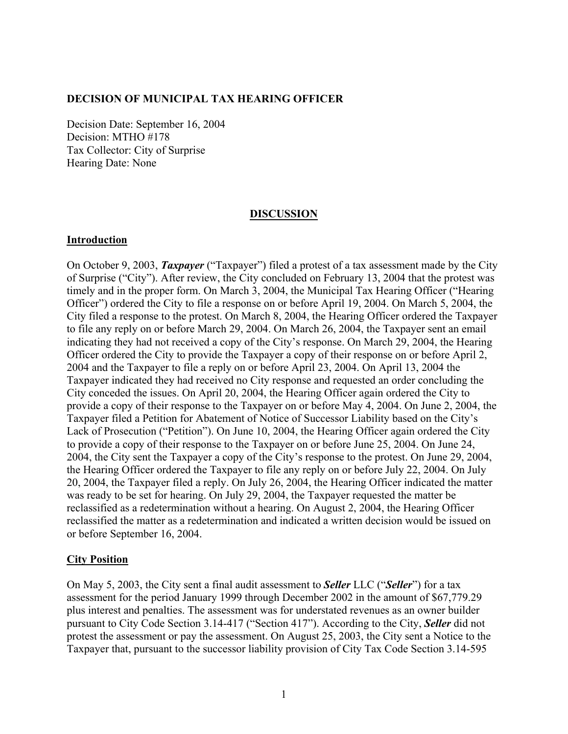### **DECISION OF MUNICIPAL TAX HEARING OFFICER**

Decision Date: September 16, 2004 Decision: MTHO #178 Tax Collector: City of Surprise Hearing Date: None

#### **DISCUSSION**

### **Introduction**

On October 9, 2003, *Taxpayer* ("Taxpayer") filed a protest of a tax assessment made by the City of Surprise ("City"). After review, the City concluded on February 13, 2004 that the protest was timely and in the proper form. On March 3, 2004, the Municipal Tax Hearing Officer ("Hearing Officer") ordered the City to file a response on or before April 19, 2004. On March 5, 2004, the City filed a response to the protest. On March 8, 2004, the Hearing Officer ordered the Taxpayer to file any reply on or before March 29, 2004. On March 26, 2004, the Taxpayer sent an email indicating they had not received a copy of the City's response. On March 29, 2004, the Hearing Officer ordered the City to provide the Taxpayer a copy of their response on or before April 2, 2004 and the Taxpayer to file a reply on or before April 23, 2004. On April 13, 2004 the Taxpayer indicated they had received no City response and requested an order concluding the City conceded the issues. On April 20, 2004, the Hearing Officer again ordered the City to provide a copy of their response to the Taxpayer on or before May 4, 2004. On June 2, 2004, the Taxpayer filed a Petition for Abatement of Notice of Successor Liability based on the City's Lack of Prosecution ("Petition"). On June 10, 2004, the Hearing Officer again ordered the City to provide a copy of their response to the Taxpayer on or before June 25, 2004. On June 24, 2004, the City sent the Taxpayer a copy of the City's response to the protest. On June 29, 2004, the Hearing Officer ordered the Taxpayer to file any reply on or before July 22, 2004. On July 20, 2004, the Taxpayer filed a reply. On July 26, 2004, the Hearing Officer indicated the matter was ready to be set for hearing. On July 29, 2004, the Taxpayer requested the matter be reclassified as a redetermination without a hearing. On August 2, 2004, the Hearing Officer reclassified the matter as a redetermination and indicated a written decision would be issued on or before September 16, 2004.

### **City Position**

On May 5, 2003, the City sent a final audit assessment to *Seller* LLC ("*Seller*") for a tax assessment for the period January 1999 through December 2002 in the amount of \$67,779.29 plus interest and penalties. The assessment was for understated revenues as an owner builder pursuant to City Code Section 3.14-417 ("Section 417"). According to the City, *Seller* did not protest the assessment or pay the assessment. On August 25, 2003, the City sent a Notice to the Taxpayer that, pursuant to the successor liability provision of City Tax Code Section 3.14-595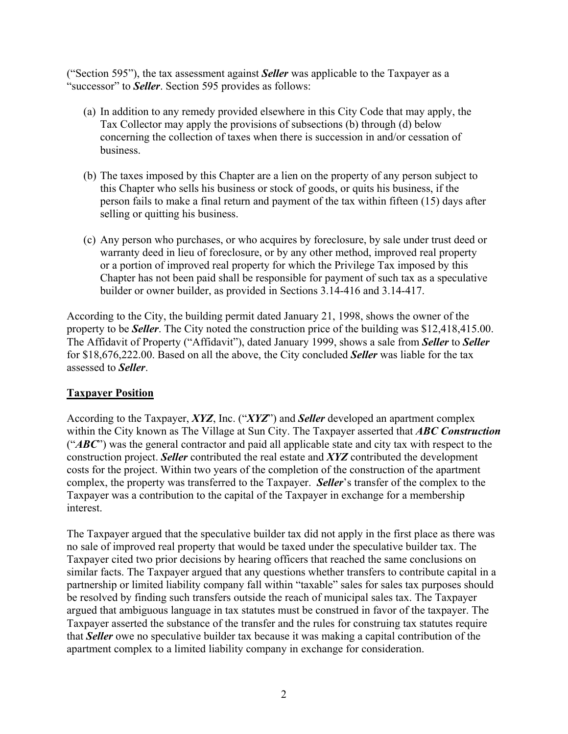("Section 595"), the tax assessment against *Seller* was applicable to the Taxpayer as a "successor" to *Seller*. Section 595 provides as follows:

- (a) In addition to any remedy provided elsewhere in this City Code that may apply, the Tax Collector may apply the provisions of subsections (b) through (d) below concerning the collection of taxes when there is succession in and/or cessation of business.
- (b) The taxes imposed by this Chapter are a lien on the property of any person subject to this Chapter who sells his business or stock of goods, or quits his business, if the person fails to make a final return and payment of the tax within fifteen (15) days after selling or quitting his business.
- (c) Any person who purchases, or who acquires by foreclosure, by sale under trust deed or warranty deed in lieu of foreclosure, or by any other method, improved real property or a portion of improved real property for which the Privilege Tax imposed by this Chapter has not been paid shall be responsible for payment of such tax as a speculative builder or owner builder, as provided in Sections 3.14-416 and 3.14-417.

According to the City, the building permit dated January 21, 1998, shows the owner of the property to be *Seller*. The City noted the construction price of the building was \$12,418,415.00. The Affidavit of Property ("Affidavit"), dated January 1999, shows a sale from *Seller* to *Seller* for \$18,676,222.00. Based on all the above, the City concluded *Seller* was liable for the tax assessed to *Seller*.

## **Taxpayer Position**

According to the Taxpayer, *XYZ*, Inc. ("*XYZ*") and *Seller* developed an apartment complex within the City known as The Village at Sun City. The Taxpayer asserted that *ABC Construction* ("*ABC*") was the general contractor and paid all applicable state and city tax with respect to the construction project. *Seller* contributed the real estate and *XYZ* contributed the development costs for the project. Within two years of the completion of the construction of the apartment complex, the property was transferred to the Taxpayer. *Seller*'s transfer of the complex to the Taxpayer was a contribution to the capital of the Taxpayer in exchange for a membership interest.

The Taxpayer argued that the speculative builder tax did not apply in the first place as there was no sale of improved real property that would be taxed under the speculative builder tax. The Taxpayer cited two prior decisions by hearing officers that reached the same conclusions on similar facts. The Taxpayer argued that any questions whether transfers to contribute capital in a partnership or limited liability company fall within "taxable" sales for sales tax purposes should be resolved by finding such transfers outside the reach of municipal sales tax. The Taxpayer argued that ambiguous language in tax statutes must be construed in favor of the taxpayer. The Taxpayer asserted the substance of the transfer and the rules for construing tax statutes require that *Seller* owe no speculative builder tax because it was making a capital contribution of the apartment complex to a limited liability company in exchange for consideration.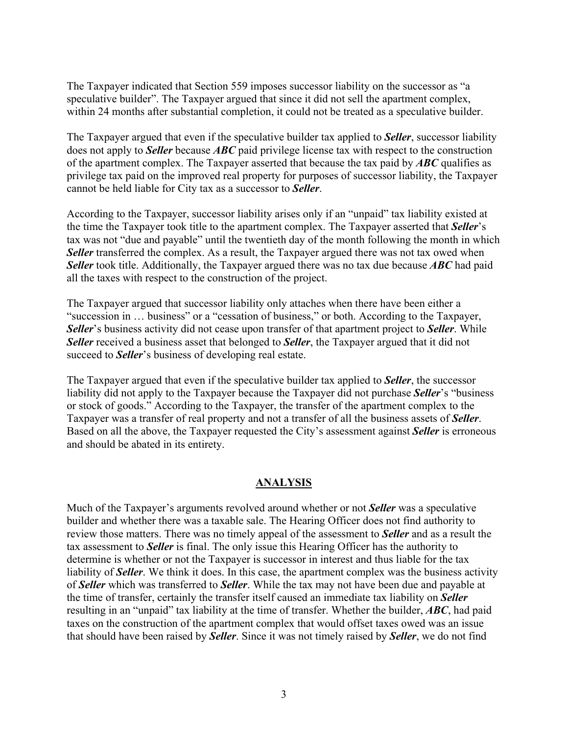The Taxpayer indicated that Section 559 imposes successor liability on the successor as "a speculative builder". The Taxpayer argued that since it did not sell the apartment complex, within 24 months after substantial completion, it could not be treated as a speculative builder.

The Taxpayer argued that even if the speculative builder tax applied to *Seller*, successor liability does not apply to *Seller* because *ABC* paid privilege license tax with respect to the construction of the apartment complex. The Taxpayer asserted that because the tax paid by *ABC* qualifies as privilege tax paid on the improved real property for purposes of successor liability, the Taxpayer cannot be held liable for City tax as a successor to *Seller*.

According to the Taxpayer, successor liability arises only if an "unpaid" tax liability existed at the time the Taxpayer took title to the apartment complex. The Taxpayer asserted that *Seller*'s tax was not "due and payable" until the twentieth day of the month following the month in which **Seller** transferred the complex. As a result, the Taxpayer argued there was not tax owed when *Seller* took title. Additionally, the Taxpayer argued there was no tax due because *ABC* had paid all the taxes with respect to the construction of the project.

The Taxpayer argued that successor liability only attaches when there have been either a "succession in … business" or a "cessation of business," or both. According to the Taxpayer, *Seller*'s business activity did not cease upon transfer of that apartment project to *Seller*. While *Seller* received a business asset that belonged to *Seller*, the Taxpayer argued that it did not succeed to *Seller*'s business of developing real estate.

The Taxpayer argued that even if the speculative builder tax applied to *Seller*, the successor liability did not apply to the Taxpayer because the Taxpayer did not purchase *Seller*'s "business or stock of goods." According to the Taxpayer, the transfer of the apartment complex to the Taxpayer was a transfer of real property and not a transfer of all the business assets of *Seller*. Based on all the above, the Taxpayer requested the City's assessment against *Seller* is erroneous and should be abated in its entirety.

## **ANALYSIS**

Much of the Taxpayer's arguments revolved around whether or not *Seller* was a speculative builder and whether there was a taxable sale. The Hearing Officer does not find authority to review those matters. There was no timely appeal of the assessment to *Seller* and as a result the tax assessment to *Seller* is final. The only issue this Hearing Officer has the authority to determine is whether or not the Taxpayer is successor in interest and thus liable for the tax liability of *Seller*. We think it does. In this case, the apartment complex was the business activity of *Seller* which was transferred to *Seller*. While the tax may not have been due and payable at the time of transfer, certainly the transfer itself caused an immediate tax liability on *Seller* resulting in an "unpaid" tax liability at the time of transfer. Whether the builder, *ABC*, had paid taxes on the construction of the apartment complex that would offset taxes owed was an issue that should have been raised by *Seller*. Since it was not timely raised by *Seller*, we do not find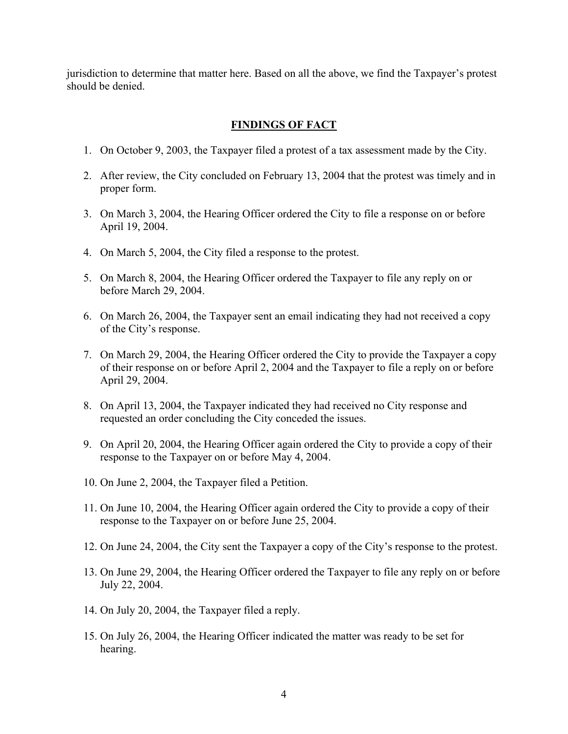jurisdiction to determine that matter here. Based on all the above, we find the Taxpayer's protest should be denied.

## **FINDINGS OF FACT**

- 1. On October 9, 2003, the Taxpayer filed a protest of a tax assessment made by the City.
- 2. After review, the City concluded on February 13, 2004 that the protest was timely and in proper form.
- 3. On March 3, 2004, the Hearing Officer ordered the City to file a response on or before April 19, 2004.
- 4. On March 5, 2004, the City filed a response to the protest.
- 5. On March 8, 2004, the Hearing Officer ordered the Taxpayer to file any reply on or before March 29, 2004.
- 6. On March 26, 2004, the Taxpayer sent an email indicating they had not received a copy of the City's response.
- 7. On March 29, 2004, the Hearing Officer ordered the City to provide the Taxpayer a copy of their response on or before April 2, 2004 and the Taxpayer to file a reply on or before April 29, 2004.
- 8. On April 13, 2004, the Taxpayer indicated they had received no City response and requested an order concluding the City conceded the issues.
- 9. On April 20, 2004, the Hearing Officer again ordered the City to provide a copy of their response to the Taxpayer on or before May 4, 2004.
- 10. On June 2, 2004, the Taxpayer filed a Petition.
- 11. On June 10, 2004, the Hearing Officer again ordered the City to provide a copy of their response to the Taxpayer on or before June 25, 2004.
- 12. On June 24, 2004, the City sent the Taxpayer a copy of the City's response to the protest.
- 13. On June 29, 2004, the Hearing Officer ordered the Taxpayer to file any reply on or before July 22, 2004.
- 14. On July 20, 2004, the Taxpayer filed a reply.
- 15. On July 26, 2004, the Hearing Officer indicated the matter was ready to be set for hearing.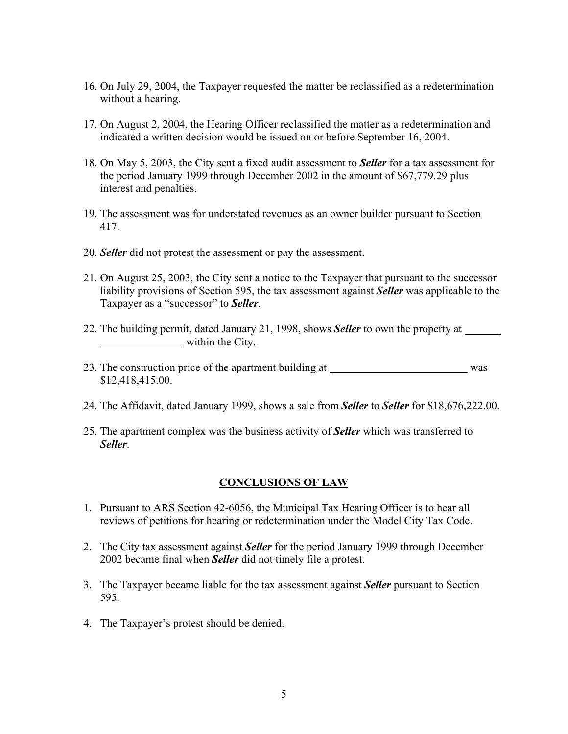- 16. On July 29, 2004, the Taxpayer requested the matter be reclassified as a redetermination without a hearing.
- 17. On August 2, 2004, the Hearing Officer reclassified the matter as a redetermination and indicated a written decision would be issued on or before September 16, 2004.
- 18. On May 5, 2003, the City sent a fixed audit assessment to *Seller* for a tax assessment for the period January 1999 through December 2002 in the amount of \$67,779.29 plus interest and penalties.
- 19. The assessment was for understated revenues as an owner builder pursuant to Section 417.
- 20. *Seller* did not protest the assessment or pay the assessment.
- 21. On August 25, 2003, the City sent a notice to the Taxpayer that pursuant to the successor liability provisions of Section 595, the tax assessment against *Seller* was applicable to the Taxpayer as a "successor" to *Seller*.
- 22. The building permit, dated January 21, 1998, shows *Seller* to own the property at within the City.
- 23. The construction price of the apartment building at was \$12,418,415.00.
- 24. The Affidavit, dated January 1999, shows a sale from *Seller* to *Seller* for \$18,676,222.00.
- 25. The apartment complex was the business activity of *Seller* which was transferred to *Seller*.

## **CONCLUSIONS OF LAW**

- 1. Pursuant to ARS Section 42-6056, the Municipal Tax Hearing Officer is to hear all reviews of petitions for hearing or redetermination under the Model City Tax Code.
- 2. The City tax assessment against *Seller* for the period January 1999 through December 2002 became final when *Seller* did not timely file a protest.
- 3. The Taxpayer became liable for the tax assessment against *Seller* pursuant to Section 595.
- 4. The Taxpayer's protest should be denied.